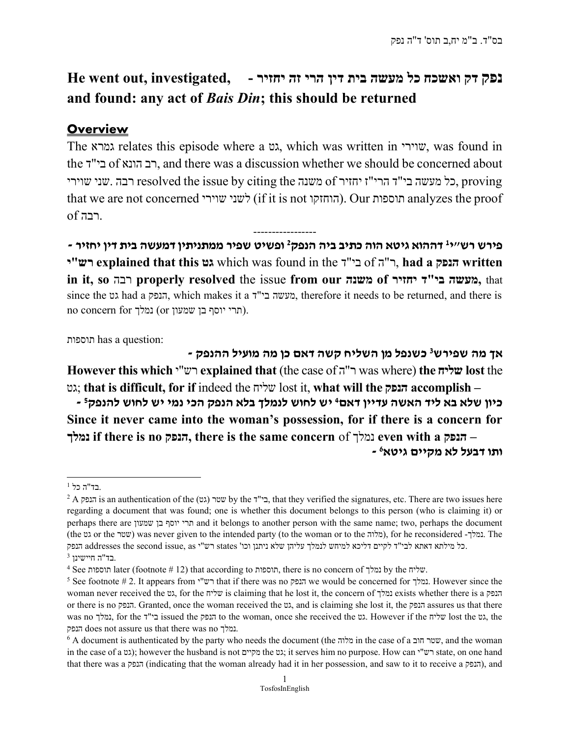# נפק דק ואשכח כל מעשה בית דין הרי זה יחזיר - He went out, investigated, and found: any act of Bais Din; this should be returned

## **Overview**

The גמרא relates this episode where a גט, which was written in שוירי, was found in the ד"בי of הונא רב, and there was a discussion whether we should be concerned about רבה .שני שוירי resolved the issue by citing the משנה of משנה the citing the רבה. that we are not concerned לשני שוירי). Our הוחספות analyzes the proof .רבה of

----------------- - פירש רש״י<sup>נ</sup> דההוא גיטא הוה כתיב ביה הנפק<sup>2</sup> ופשיט שפיר ממתניתין דמעשה בית דין יחזיר יש explained that this גט which was found in the ר"ה of הנפק written הנפק written in it, so רבה properly resolved the issue from our משנה of יחזיר ד"בי מעשה, that since the גט had a הנפק, which makes it a ד"בי מעשה, therefore it needs to be returned, and there is no concern for נמלך). (תרי יוסף בן שמעון  $\alpha$ 

תוספות has a question:

אך מה שפירש<sup>3</sup> כשנפל מן השליח קשה דאם כן מה מועיל ההנפק -However this which י"רש explained that (the case of ה"ר was where) the שליח lost the גט ;that is difficult, for if indeed the שליח lost it, what will the הנפק accomplish – - כיון שלא בא ליד האשה עדיין דאם<sup>4</sup> יש לחוש לנמלך בלא הנפק הכי נמי יש לחוש להנפק<sup>5</sup> Since it never came into the woman's possession, for if there is a concern for נמלך if there is no הנפק, there is the same concern of הנפק, even with a הנפק - <sup>6</sup> ותו דבעל לא מקיים גיטא

 $^1$  בד"ה כל.

 $^2$  A בי"ד, that they verified the signatures, etc. There are two issues here  $^2$ A ביו $^2$  A בנפק is an authentication of the (גט) שטר regarding a document that was found; one is whether this document belongs to this person (who is claiming it) or perhaps there are שמעון בן יוסף תרי and it belongs to another person with the same name; two, perhaps the document (the גמלך - for the reconsidered) (מלוה, or the was never given to the intended party (to the woman or to the  $\alpha$ לוה), for he reconsidered -נמלך. . ן שלא ניתנן וכו' כל מילתא דאתא לבי"ד לקיים דליכא למיחש לנמלך עליה states רש"י as ,issue second the addresses הנפק

 $^3$  בד"ה חיישינן.

 $^4$  See תוספות later (footnote # 12) that according to תוספות, there is no concern of נמלך. שליח.

 $^5$  See footnote # 2. It appears from י"רש" that if there was no הנפק we would be concerned for נמלך. However since the woman never received the גט, for the שליח is claiming that he lost it, the concern of נמלך exists whether there is a הנפק or there is no הנפק. Granted, once the woman received the גט, and is claiming she lost it, the הנפק assures us that there was no נמלך, for the ד"ד issued the הנפק to the woman, once she received the גט. However if the שליח lost the ג הנפק does not assure us that there was no נמלך.

 $6$  A document is authenticated by the party who needs the document (the מלוה in the case of a שטר חוב), and the woman in the case of a גט); however the husband is not מקיים the גט; it serves him no purpose. How can י"ר state, on one hand that there was a הנפק), indicating that the woman already had it in her possession, and saw to it to receive a הנפק), and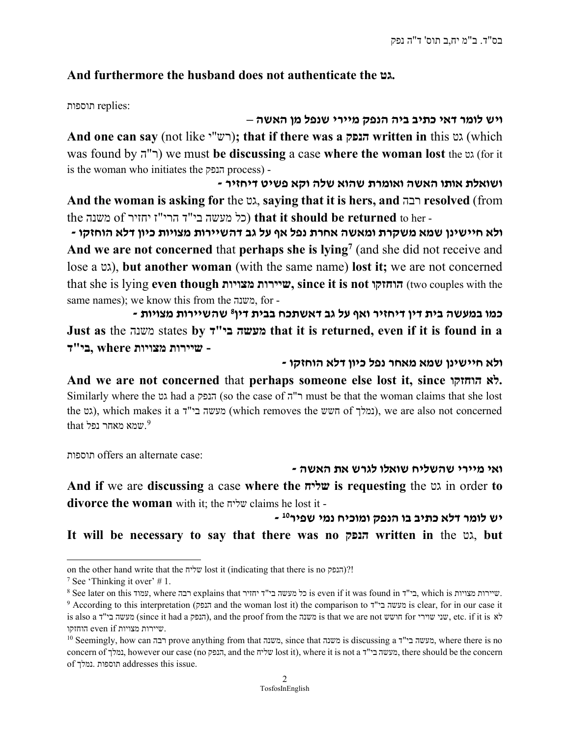## And furthermore the husband does not authenticate the גט.

:replies תוספות

#### ויש לומר דאי כתיב ביה הנפק מיירי שנפל מן האשה –

And one can say (not like ''ע"); that if there was a געפק written in this גט) (which was found by  $(\top)$  we must be discussing a case where the woman lost the  $\infty$  (for it is the woman who initiates the הנפק process) -

ושואלת אותו האשה ואומרת שהוא שלה וקא פשיט דיחזיר - And the woman is asking for the גט, saying that it is hers, and רבה resolved (from the משנה of כל מעשה בי"ד הרי"ז יחזיר of משנה ( the the returned to her -

ולא חיישינן שמא משקרת ומאשה אחרת נפל אף על גב דהשיירות מצויות כיון דלא הוחזקו -And we are not concerned that perhaps she is lying<sup>7</sup> (and she did not receive and lose a גט), but another woman (with the same name) lost it; we are not concerned that she is lying even though מצויות שיירות, since it is not הוחזקו) two couples with the same names); we know this from the משנה, for -

- כמו במעשה בית דין דיחזיר ואף על גב דאשתכח בבית דין<sup>8</sup> שהשיירות מצויות Just as the משנה states by ד"בי מעשה that it is returned, even if it is found in a כי"ד, where בי"ד - שיירות מצויות

- ולא חיישינן שמא מאחר נפל כיון דלא הוחזקו

And we are not concerned that perhaps someone else lost it, since הוחזקו לא. Similarly where the גט had a הנפק) (so the case of הו"ר must be that the woman claims that she lost the גט), which makes it a נמלך), we are also not concerned  $^9$ שמא מאחר נפל  $^9$ 

תוספות offers an alternate case:

#### ואי מיירי שהשליח שואלו לגרש את האשה -

And if we are discussing a case where the שליח is requesting the גט in order to divorce the woman with it; the שליח claims he lost it -

יש לומר דלא כתיב בו הנפק ומוכיח נמי שפיר<sup>10</sup> -

It will be necessary to say that there was no הנפק written in the גט, but

on the other hand write that the שליח lost it (indicating that there is no הנפק)?!

<sup>&</sup>lt;sup>7</sup> See 'Thinking it over'  $# 1$ .

 $^8$  See later on this עמוד, where רבה explains that כל מעשה בי"ד יחזיר. is even if it was found in בי"ד, which is מצויות.

<sup>9</sup> According to this interpretation (הנפק and the woman lost it) the comparison to ד"בי מעשה is clear, for in our case it is also a לא etc. if it is משנה), and the proof from the משנה is that we are not חושש for שוירי שוירי , etc. if it is לא שיירות מצויות ip:שיירות מצויות  $\,$ 

<sup>10</sup> Seemingly, how can רבה prove anything from that משנה, since that משנה is discussing a ד"בי מעשה, where there is no concern of נמלך, however our case (no הנפק, and the שליח lost it), where it is not a ד"בי , there should be the concern מעשה of נמלך. תוספות addresses this issue.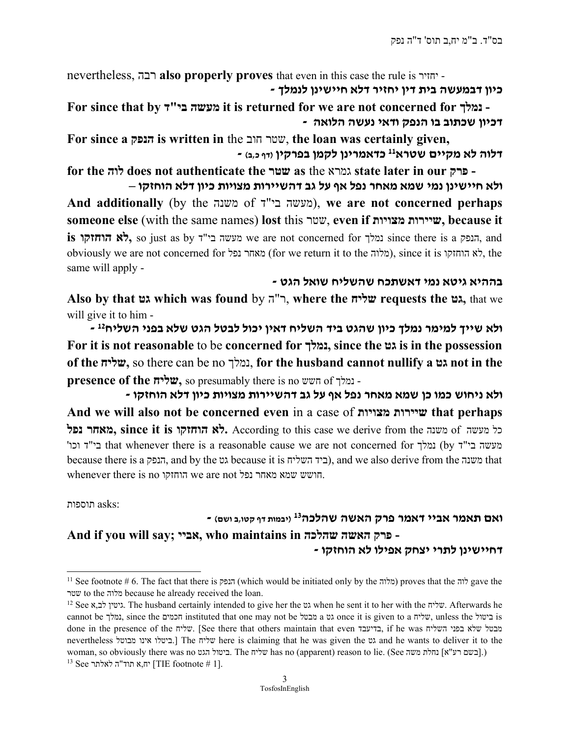nevertheless, רבה also properly proves that even in this case the rule is יחזיר - - כיון דבמעשה בית דין יחזיר דלא חיישינו לנמלך

For since that by ד"בי מעשה it is returned for we are not concerned for נמלך - - דכיון שכתוב בו הנפק ודאי נעשה הלואה

For since a הנפק is written in the חוב שטר, the loan was certainly given, - דלוה לא מקיים שטרא<sup>11</sup> כדאמרינן לקמן בפרקין <sub>(דף כ,ב)</sub>

for the לוה does not authenticate the שטר as the גמרא state later in our פרק - ולא חיישינן נמי שמא מאחר נפל אף על גב דהשיירות מצויות כיון דלא הוחזקו –

And additionally (by the משנה of די"ד), we are not concerned perhaps someone else (with the same names) lost this שטר, even if מצויות שיירות, because it  $i$ is הנפק גלא הוחזקו, so just as by הנפק, and נמלך, so just as by הנפק, and obviously we are not concerned for מאחר נפל (for we return it to the לא הוחזקו, since it is הוחזקו, the same will apply -

בההיא גיטא נמי דאשתכח שהשליח שואל הגט -

Also by that גט which was found by ה"ר, where the שליח requests the גט, that we will give it to him -

- ולא שייך למימר נמלך כיון שהגט ביד השליח דאין יכול לבטל הגט שלא בפני השליח<sup>12</sup> For it is not reasonable to be concerned for נמלך, since the גט is in the possession of the שליח, so there can be no נמלך, for the husband cannot nullify a גט not in the presence of the שליח, so presumably there is no חשש of נמלך -

- ולא ניחוש כמו כן שמא מאחר נפל אף על גב דהשיירות מצויות כיון דלא הוחזקו And we will also not be concerned even in a case of מצויות שיירות that perhaps נל מעשה 6 מאחר נפל (איזה לא הוחזקו לא הוחזקו לא, According to this case we derive from the כל מעשה 'וכו ד"בי that whenever there is a reasonable cause we are not concerned for נמלך) by ד"בי מעשה because there is a הנפק, and by the גט because it is השליח ביד(, and we also derive from the משנה that whenever there is no הוחזקו we are not נפל מאחר שמא חושש.

:asks תוספות

### - ואם תאמר אביי דאמר פרק האשה שהלכה<sup>13</sup> (יבמות דף קטו,ב ושם) And if you will say; אביי, who maintains in שהלכה האשה פרק - דחיישיªן לתרי יצחק אפילו לא הוחזקו -

<sup>11</sup> See footnote # 6. The fact that there is הנפק) which would be initiated only by the מלוה (proves that the לוה gave the שטר to the מלוה because he already received the loan.

<sup>&</sup>lt;sup>12</sup> See א,גיטין לב, The husband certainly intended to give her the שליח. when he sent it to her with the שליח. Afterwards he cannot be נמלך, since the חכמים instituted that one may not be מבטל a גט once it is given to a שליח, unless the ביטול is done in the presence of the שליח.] See there that others maintain that even בדיעבד, if he was השליח בפני שלא מבטל nevertheless מבוטל אינו ביטלו. [The שליח here is claiming that he was given the גט and he wants to deliver it to the woman, so obviously there was no הביטול הגט ביטול. The שליח has no (apparent) reason to lie. (See השם רע"א] נחלת משה  $^{13}$  See יח,א תוד"ה לאלתר [TIE footnote # 1].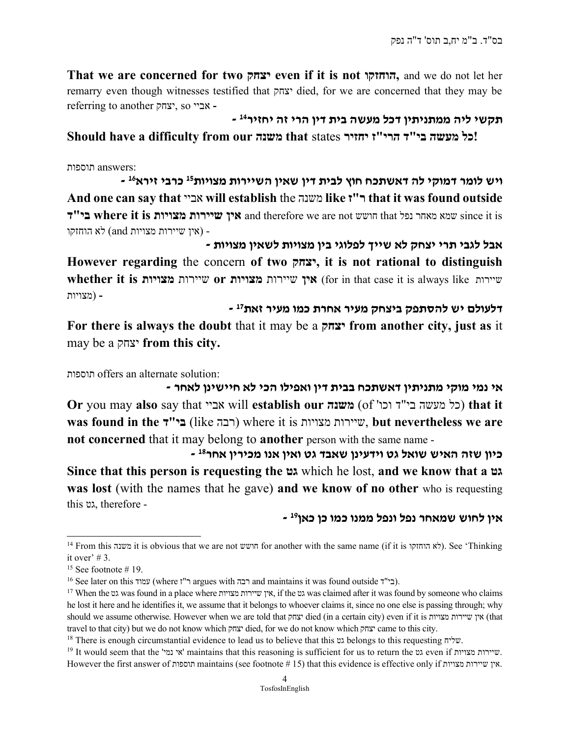That we are concerned for two יצחק even if it is not הוחזקו, and we do not let her remarry even though witnesses testified that יצחק died, for we are concerned that they may be referring to another יצחק, so אביי -

תקשי ליה ממתניתין דכל מעשה בית דין הרי זה יחזיר<sup>14</sup> -

#### וכל מעשה בי"ד הרי"ז יחזיר that states משנה טום should have a difficulty from our

:answers תוספות

- ויש לומר דמוקי לה דאשתכח חוץ לבית דין שאין השיירות מצויות<sup>15</sup> כרבי זירא<sup>16</sup> And one can say that אביי will establish the משנה like ז"ר that it was found outside בי"ד where it is הושש and therefore we are not חושש that הושש since it is הו - (אין שיירות מצויות and (לא הוחזקו

אבל לגבי תרי יצחק לא שייך לפלוגי בין מצויות לשאין מצויות - However regarding the concern of two יצחק, it is not rational to distinguish whether it is מצוירות מצוירות מצוירות מצוירות שיירות (for in that case it is always like  $w$ - (מצויות

- דלעולם יש להסתפק ביצחק מעיר אחרת כמו מעיר זאת<sup>17</sup>

For there is always the doubt that it may be a יצחק from another city, just as it may be a יצחק from this city.

תוספות offers an alternate solution:

אי נמי מוקי מתניתין דאשתכח בבית דין ואפילו הכי לא חיישינן לאחר -Or you may also say that  $\infty$  are  $\infty$  will establish our משנה) that it was found in the ירבה (like רבה) where it is wirrenty, but nevertheless we are not concerned that it may belong to another person with the same name -

- 18סיון שזה האיש שואל גט וידעינן שאבד גט ואין אנו מכירין אחר Since that this person is requesting the גט which he lost, and we know that a גט was lost (with the names that he gave) and we know of no other who is requesting this גט, therefore -

- אין לחוש שמאחר נפל ונפל ממנו כמו כן כאן<sup>19</sup>

<sup>&</sup>lt;sup>14</sup> From this משנה it is obvious that we are not חושש for another with the same name (if it is הוחזקו). See 'Thinking it over' # 3.

 $15$  See footnote # 19.

 $^{16}$  See later on this עמוד) where י"ר argues with רבה and maintains it was found outside בי"ב).

<sup>17</sup> When the גט wasfound in a place where מצויות שיירות אין, if the גט was claimed after it was found by someone who claims he lost it here and he identifies it, we assume that it belongs to whoever claims it, since no one else is passing through; why should we assume otherwise. However when we are told that יצחק died (in a certain city) even if it is מצויות שיירות אין) that travel to that city) but we do not know which יצחק died, for we do not know which יצחק came to this city.

<sup>18</sup> There is enough circumstantial evidence to lead us to believe that this גט belongs to this requesting שליח.

<sup>19</sup> It would seem that the 'נמי אי 'maintains that this reasoning is sufficient for us to return the גט even if מצויות שיירות. However the first answer of תוספות maintains (see footnote # 15) that this evidence is effective only if מצויות שיירות אין.